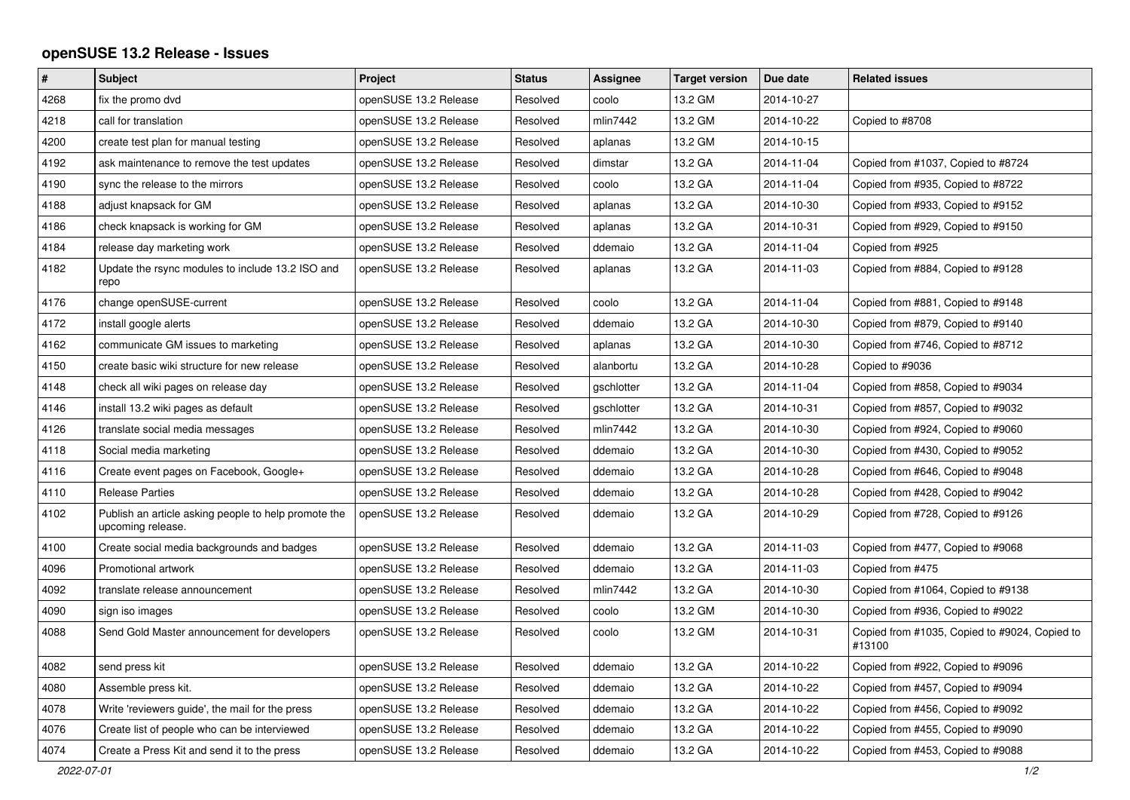## **openSUSE 13.2 Release - Issues**

| $\pmb{\#}$ | Subject                                                                   | Project               | <b>Status</b> | Assignee   | <b>Target version</b> | Due date   | <b>Related issues</b>                                   |
|------------|---------------------------------------------------------------------------|-----------------------|---------------|------------|-----------------------|------------|---------------------------------------------------------|
| 4268       | fix the promo dvd                                                         | openSUSE 13.2 Release | Resolved      | coolo      | 13.2 GM               | 2014-10-27 |                                                         |
| 4218       | call for translation                                                      | openSUSE 13.2 Release | Resolved      | mlin7442   | 13.2 GM               | 2014-10-22 | Copied to #8708                                         |
| 4200       | create test plan for manual testing                                       | openSUSE 13.2 Release | Resolved      | aplanas    | 13.2 GM               | 2014-10-15 |                                                         |
| 4192       | ask maintenance to remove the test updates                                | openSUSE 13.2 Release | Resolved      | dimstar    | 13.2 GA               | 2014-11-04 | Copied from #1037, Copied to #8724                      |
| 4190       | sync the release to the mirrors                                           | openSUSE 13.2 Release | Resolved      | coolo      | 13.2 GA               | 2014-11-04 | Copied from #935, Copied to #8722                       |
| 4188       | adjust knapsack for GM                                                    | openSUSE 13.2 Release | Resolved      | aplanas    | 13.2 GA               | 2014-10-30 | Copied from #933, Copied to #9152                       |
| 4186       | check knapsack is working for GM                                          | openSUSE 13.2 Release | Resolved      | aplanas    | 13.2 GA               | 2014-10-31 | Copied from #929, Copied to #9150                       |
| 4184       | release day marketing work                                                | openSUSE 13.2 Release | Resolved      | ddemaio    | 13.2 GA               | 2014-11-04 | Copied from #925                                        |
| 4182       | Update the rsync modules to include 13.2 ISO and<br>repo                  | openSUSE 13.2 Release | Resolved      | aplanas    | 13.2 GA               | 2014-11-03 | Copied from #884, Copied to #9128                       |
| 4176       | change openSUSE-current                                                   | openSUSE 13.2 Release | Resolved      | coolo      | 13.2 GA               | 2014-11-04 | Copied from #881, Copied to #9148                       |
| 4172       | install google alerts                                                     | openSUSE 13.2 Release | Resolved      | ddemaio    | 13.2 GA               | 2014-10-30 | Copied from #879, Copied to #9140                       |
| 4162       | communicate GM issues to marketing                                        | openSUSE 13.2 Release | Resolved      | aplanas    | 13.2 GA               | 2014-10-30 | Copied from #746, Copied to #8712                       |
| 4150       | create basic wiki structure for new release                               | openSUSE 13.2 Release | Resolved      | alanbortu  | 13.2 GA               | 2014-10-28 | Copied to #9036                                         |
| 4148       | check all wiki pages on release day                                       | openSUSE 13.2 Release | Resolved      | gschlotter | 13.2 GA               | 2014-11-04 | Copied from #858, Copied to #9034                       |
| 4146       | install 13.2 wiki pages as default                                        | openSUSE 13.2 Release | Resolved      | gschlotter | 13.2 GA               | 2014-10-31 | Copied from #857, Copied to #9032                       |
| 4126       | translate social media messages                                           | openSUSE 13.2 Release | Resolved      | mlin7442   | 13.2 GA               | 2014-10-30 | Copied from #924, Copied to #9060                       |
| 4118       | Social media marketing                                                    | openSUSE 13.2 Release | Resolved      | ddemaio    | 13.2 GA               | 2014-10-30 | Copied from #430, Copied to #9052                       |
| 4116       | Create event pages on Facebook, Google+                                   | openSUSE 13.2 Release | Resolved      | ddemaio    | 13.2 GA               | 2014-10-28 | Copied from #646, Copied to #9048                       |
| 4110       | <b>Release Parties</b>                                                    | openSUSE 13.2 Release | Resolved      | ddemaio    | 13.2 GA               | 2014-10-28 | Copied from #428, Copied to #9042                       |
| 4102       | Publish an article asking people to help promote the<br>upcoming release. | openSUSE 13.2 Release | Resolved      | ddemaio    | 13.2 GA               | 2014-10-29 | Copied from #728, Copied to #9126                       |
| 4100       | Create social media backgrounds and badges                                | openSUSE 13.2 Release | Resolved      | ddemaio    | 13.2 GA               | 2014-11-03 | Copied from #477, Copied to #9068                       |
| 4096       | Promotional artwork                                                       | openSUSE 13.2 Release | Resolved      | ddemaio    | 13.2 GA               | 2014-11-03 | Copied from #475                                        |
| 4092       | translate release announcement                                            | openSUSE 13.2 Release | Resolved      | mlin7442   | 13.2 GA               | 2014-10-30 | Copied from #1064, Copied to #9138                      |
| 4090       | sign iso images                                                           | openSUSE 13.2 Release | Resolved      | coolo      | 13.2 GM               | 2014-10-30 | Copied from #936, Copied to #9022                       |
| 4088       | Send Gold Master announcement for developers                              | openSUSE 13.2 Release | Resolved      | coolo      | 13.2 GM               | 2014-10-31 | Copied from #1035, Copied to #9024, Copied to<br>#13100 |
| 4082       | send press kit                                                            | openSUSE 13.2 Release | Resolved      | ddemaio    | 13.2 GA               | 2014-10-22 | Copied from #922, Copied to #9096                       |
| 4080       | Assemble press kit.                                                       | openSUSE 13.2 Release | Resolved      | ddemaio    | 13.2 GA               | 2014-10-22 | Copied from #457, Copied to #9094                       |
| 4078       | Write 'reviewers guide', the mail for the press                           | openSUSE 13.2 Release | Resolved      | ddemaio    | 13.2 GA               | 2014-10-22 | Copied from #456, Copied to #9092                       |
| 4076       | Create list of people who can be interviewed                              | openSUSE 13.2 Release | Resolved      | ddemaio    | 13.2 GA               | 2014-10-22 | Copied from #455, Copied to #9090                       |
| 4074       | Create a Press Kit and send it to the press                               | openSUSE 13.2 Release | Resolved      | ddemaio    | 13.2 GA               | 2014-10-22 | Copied from #453, Copied to #9088                       |